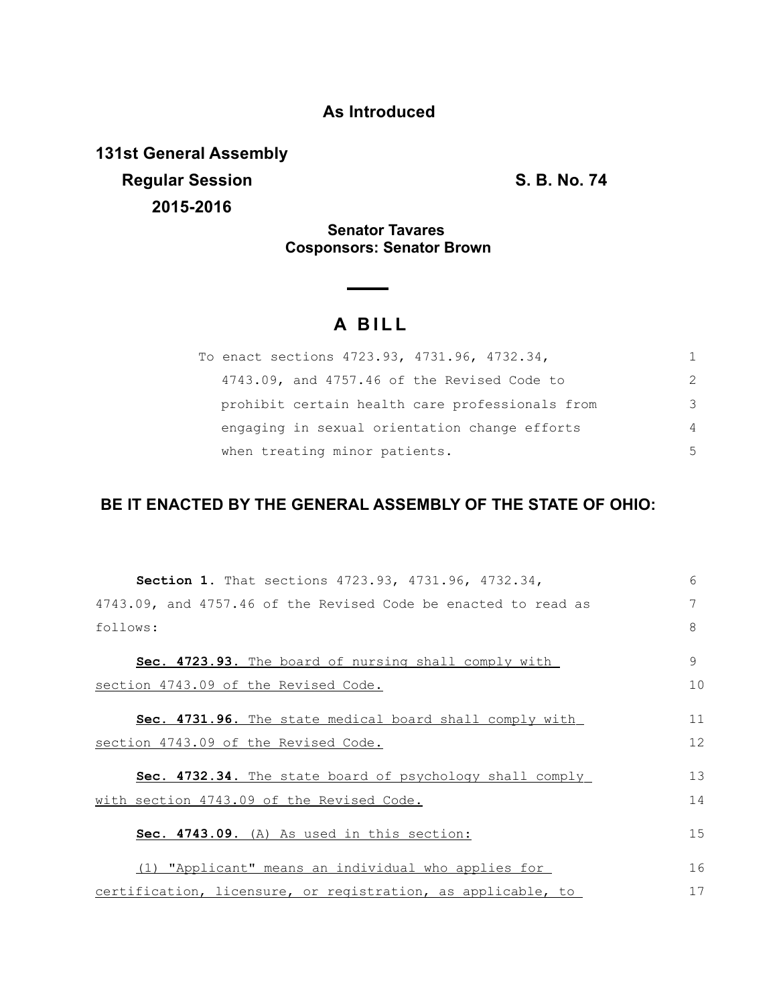## **As Introduced**

**131st General Assembly Regular Session S. B. No. 74 2015-2016**

**Senator Tavares Cosponsors: Senator Brown**

## **A B I L L**

| To enact sections 4723.93, 4731.96, 4732.34,    |               |
|-------------------------------------------------|---------------|
| 4743.09, and 4757.46 of the Revised Code to     | $\mathcal{P}$ |
| prohibit certain health care professionals from | $\mathcal{L}$ |
| engaging in sexual orientation change efforts   | 4             |
| when treating minor patients.                   | .5            |

## **BE IT ENACTED BY THE GENERAL ASSEMBLY OF THE STATE OF OHIO:**

| <b>Section 1.</b> That sections 4723.93, 4731.96, 4732.34,     | 6  |
|----------------------------------------------------------------|----|
| 4743.09, and 4757.46 of the Revised Code be enacted to read as | 7  |
| follows:                                                       | 8  |
| Sec. 4723.93. The board of nursing shall comply with           | 9  |
| section 4743.09 of the Revised Code.                           | 10 |
| Sec. 4731.96. The state medical board shall comply with        | 11 |
| section 4743.09 of the Revised Code.                           | 12 |
| Sec. 4732.34. The state board of psychology shall comply       | 13 |
| with section 4743.09 of the Revised Code.                      | 14 |
| Sec. 4743.09. (A) As used in this section:                     | 15 |
| (1) "Applicant" means an individual who applies for            | 16 |
| certification, licensure, or registration, as applicable, to   | 17 |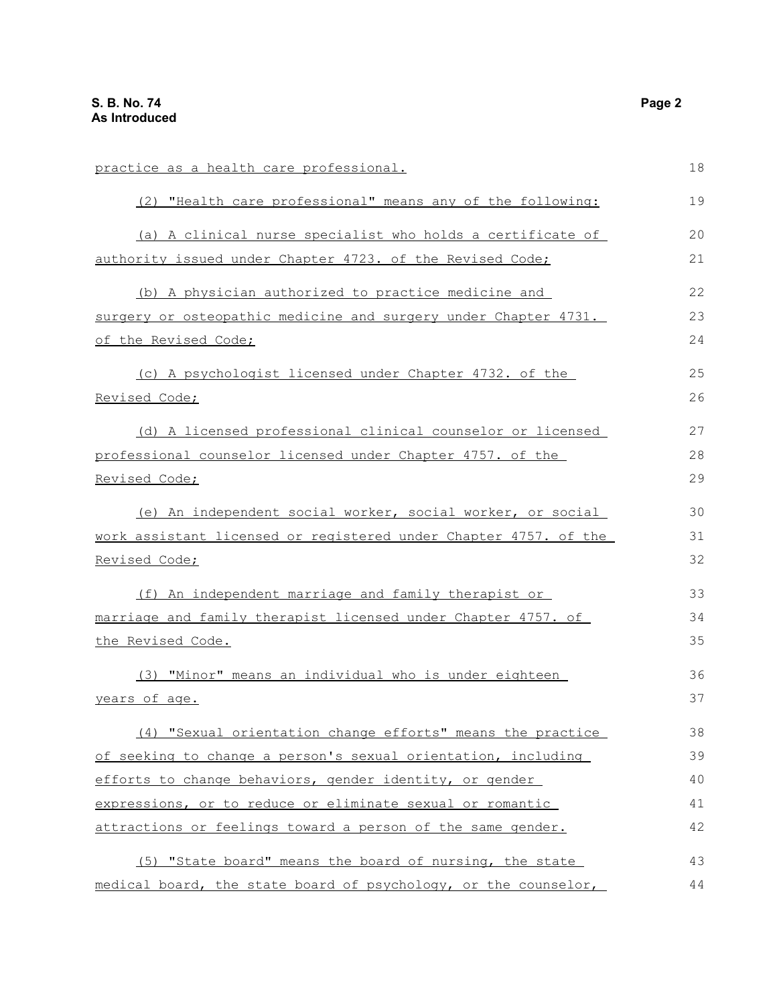| practice as a health care professional.                          | 18 |
|------------------------------------------------------------------|----|
| (2) "Health care professional" means any of the following:       | 19 |
| (a) A clinical nurse specialist who holds a certificate of       | 20 |
| authority issued under Chapter 4723. of the Revised Code;        | 21 |
| (b) A physician authorized to practice medicine and              | 22 |
| surgery or osteopathic medicine and surgery under Chapter 4731.  | 23 |
| of the Revised Code;                                             | 24 |
| (c) A psychologist licensed under Chapter 4732. of the           | 25 |
| Revised Code;                                                    | 26 |
| (d) A licensed professional clinical counselor or licensed       | 27 |
| professional counselor licensed under Chapter 4757. of the       | 28 |
| Revised Code;                                                    |    |
| (e) An independent social worker, social worker, or social       | 30 |
| work assistant licensed or registered under Chapter 4757. of the | 31 |
| Revised Code;                                                    | 32 |
| (f) An independent marriage and family therapist or              | 33 |
| marriage and family therapist licensed under Chapter 4757. of    | 34 |
| the Revised Code.                                                | 35 |
| (3) "Minor" means an individual who is under eighteen            | 36 |
| years of age.                                                    | 37 |
| (4) "Sexual orientation change efforts" means the practice       | 38 |
| of seeking to change a person's sexual orientation, including    | 39 |
| efforts to change behaviors, gender identity, or gender          | 40 |
| expressions, or to reduce or eliminate sexual or romantic        | 41 |
| attractions or feelings toward a person of the same gender.      | 42 |
| (5) "State board" means the board of nursing, the state          | 43 |
| medical board, the state board of psychology, or the counselor,  | 44 |